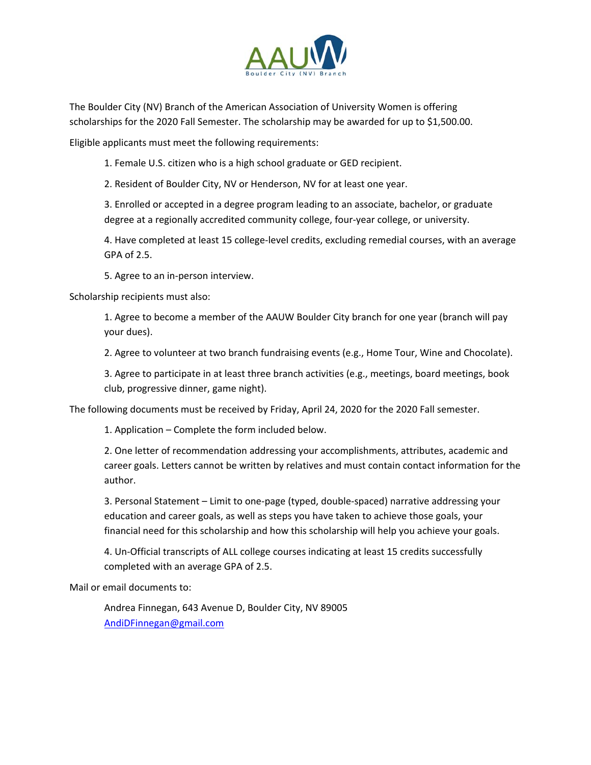

The Boulder City (NV) Branch of the American Association of University Women is offering scholarships for the 2020 Fall Semester. The scholarship may be awarded for up to \$1,500.00.

Eligible applicants must meet the following requirements:

1. Female U.S. citizen who is a high school graduate or GED recipient.

2. Resident of Boulder City, NV or Henderson, NV for at least one year.

3. Enrolled or accepted in a degree program leading to an associate, bachelor, or graduate degree at a regionally accredited community college, four-year college, or university.

4. Have completed at least 15 college‐level credits, excluding remedial courses, with an average GPA of 2.5.

5. Agree to an in‐person interview.

Scholarship recipients must also:

1. Agree to become a member of the AAUW Boulder City branch for one year (branch will pay your dues).

2. Agree to volunteer at two branch fundraising events (e.g., Home Tour, Wine and Chocolate).

3. Agree to participate in at least three branch activities (e.g., meetings, board meetings, book club, progressive dinner, game night).

The following documents must be received by Friday, April 24, 2020 for the 2020 Fall semester.

1. Application – Complete the form included below.

2. One letter of recommendation addressing your accomplishments, attributes, academic and career goals. Letters cannot be written by relatives and must contain contact information for the author.

3. Personal Statement – Limit to one‐page (typed, double‐spaced) narrative addressing your education and career goals, as well as steps you have taken to achieve those goals, your financial need for this scholarship and how this scholarship will help you achieve your goals.

4. Un‐Official transcripts of ALL college courses indicating at least 15 credits successfully completed with an average GPA of 2.5.

Mail or email documents to:

Andrea Finnegan, 643 Avenue D, Boulder City, NV 89005 AndiDFinnegan@gmail.com